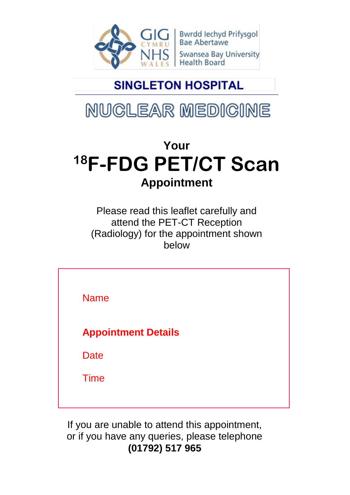

Bwrdd Iechyd Prifysgol<br>Bae Abertawe **Swansea Bay University Health Board** 

### **SINGLETON HOSPITAL**

# NUCLEAR MEDICINE

## **Your <sup>18</sup>F-FDG PET/CT Scan Appointment**

Please read this leaflet carefully and attend the PET-CT Reception (Radiology) for the appointment shown below

Name **Appointment Details Date** Time

If you are unable to attend this appointment, or if you have any queries, please telephone **(01792) 517 965**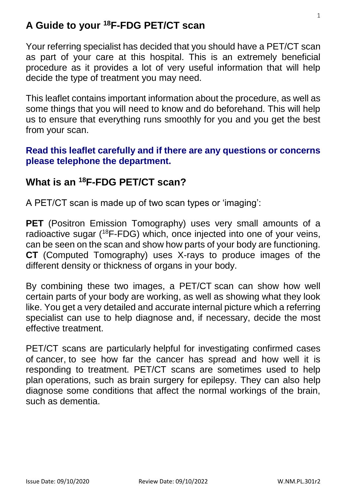#### **A Guide to your <sup>18</sup>F-FDG PET/CT scan**

Your referring specialist has decided that you should have a PET/CT scan as part of your care at this hospital. This is an extremely beneficial procedure as it provides a lot of very useful information that will help decide the type of treatment you may need.

This leaflet contains important information about the procedure, as well as some things that you will need to know and do beforehand. This will help us to ensure that everything runs smoothly for you and you get the best from your scan.

#### **Read this leaflet carefully and if there are any questions or concerns please telephone the department.**

#### **What is an <sup>18</sup>F-FDG PET/CT scan?**

A PET/CT scan is made up of two scan types or 'imaging':

**PET** (Positron Emission Tomography) uses very small amounts of a radioactive sugar (<sup>18</sup>F-FDG) which, once injected into one of your veins, can be seen on the scan and show how parts of your body are functioning. **CT** (Computed Tomography) uses X-rays to produce images of the different density or thickness of organs in your body.

By combining these two images, a PET/CT scan can show how well certain parts of your body are working, as well as showing what they look like. You get a very detailed and accurate internal picture which a referring specialist can use to help diagnose and, if necessary, decide the most effective treatment.

PET/CT scans are particularly helpful for investigating confirmed cases of [cancer,](https://www.nhs.uk/conditions/cancer/) to see how far the cancer has spread and how well it is responding to treatment. PET/CT scans are sometimes used to help plan operations, such as brain surgery for [epilepsy.](https://www.nhs.uk/conditions/epilepsy/) They can also help diagnose some conditions that affect the normal workings of the brain, such as [dementia.](https://www.nhs.uk/conditions/dementia/about/?)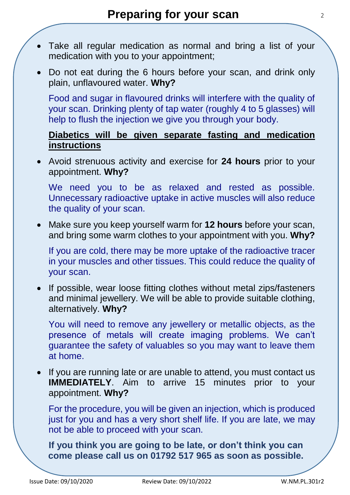- Take all regular medication as normal and bring a list of your medication with you to your appointment;
- Do not eat during the 6 hours before your scan, and drink only plain, unflavoured water. **Why?**

Food and sugar in flavoured drinks will interfere with the quality of your scan. Drinking plenty of tap water (roughly 4 to 5 glasses) will help to flush the injection we give you through your body.

#### **Diabetics will be given separate fasting and medication instructions**

 Avoid strenuous activity and exercise for **24 hours** prior to your appointment. **Why?**

We need you to be as relaxed and rested as possible. Unnecessary radioactive uptake in active muscles will also reduce the quality of your scan.

 Make sure you keep yourself warm for **12 hours** before your scan, and bring some warm clothes to your appointment with you. **Why?**

If you are cold, there may be more uptake of the radioactive tracer in your muscles and other tissues. This could reduce the quality of your scan.

• If possible, wear loose fitting clothes without metal zips/fasteners and minimal jewellery. We will be able to provide suitable clothing, alternatively. **Why?**

You will need to remove any jewellery or metallic objects, as the presence of metals will create imaging problems. We can't guarantee the safety of valuables so you may want to leave them at home.

 If you are running late or are unable to attend, you must contact us **IMMEDIATELY**. Aim to arrive 15 minutes prior to your appointment. **Why?**

For the procedure, you will be given an injection, which is produced just for you and has a very short shelf life. If you are late, we may not be able to proceed with your scan.

**If you think you are going to be late, or don't think you can come please call us on 01792 517 965 as soon as possible.**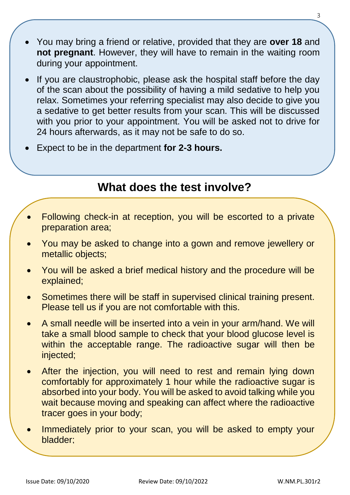- You may bring a friend or relative, provided that they are **over 18** and **not pregnant**. However, they will have to remain in the waiting room during your appointment.
- If you are claustrophobic, please ask the hospital staff before the day of the scan about the possibility of having a mild sedative to help you relax. Sometimes your referring specialist may also decide to give you a sedative to get better results from your scan. This will be discussed with you prior to your appointment. You will be asked not to drive for 24 hours afterwards, as it may not be safe to do so.
- Expect to be in the department **for 2-3 hours.**

### **What does the test involve?**

- Following check-in at reception, you will be escorted to a private preparation area;
- You may be asked to change into a gown and remove jewellery or metallic objects;
- You will be asked a brief medical history and the procedure will be explained;
- Sometimes there will be staff in supervised clinical training present. Please tell us if you are not comfortable with this.
- A small needle will be inserted into a vein in your arm/hand. We will take a small blood sample to check that your blood glucose level is within the acceptable range. The radioactive sugar will then be injected;
- After the injection, you will need to rest and remain lying down comfortably for approximately 1 hour while the radioactive sugar is absorbed into your body. You will be asked to avoid talking while you wait because moving and speaking can affect where the radioactive tracer goes in your body;
- Immediately prior to your scan, you will be asked to empty your bladder;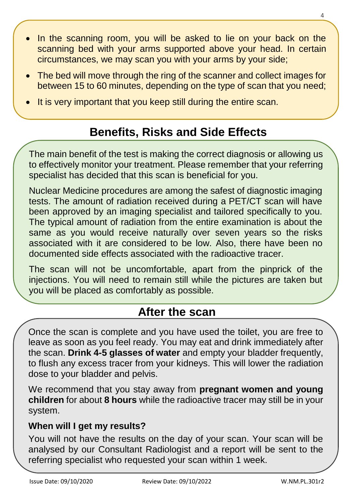- In the scanning room, you will be asked to lie on your back on the scanning bed with your arms supported above your head. In certain circumstances, we may scan you with your arms by your side;
- The bed will move through the ring of the scanner and collect images for between 15 to 60 minutes, depending on the type of scan that you need;
- It is very important that you keep still during the entire scan.

### **Benefits, Risks and Side Effects**

The main benefit of the test is making the correct diagnosis or allowing us to effectively monitor your treatment. Please remember that your referring specialist has decided that this scan is beneficial for you.

Nuclear Medicine procedures are among the safest of diagnostic imaging tests. The amount of radiation received during a PET/CT scan will have been approved by an imaging specialist and tailored specifically to you. The typical amount of radiation from the entire examination is about the same as you would receive naturally over seven years so the risks associated with it are considered to be low. Also, there have been no documented side effects associated with the radioactive tracer.

The scan will not be uncomfortable, apart from the pinprick of the injections. You will need to remain still while the pictures are taken but you will be placed as comfortably as possible.

### **After the scan**

Once the scan is complete and you have used the toilet, you are free to leave as soon as you feel ready. You may eat and drink immediately after the scan. **Drink 4-5 glasses of water** and empty your bladder frequently, to flush any excess tracer from your kidneys. This will lower the radiation dose to your bladder and pelvis.

We recommend that you stay away from **pregnant women and young children** for about **8 hours** while the radioactive tracer may still be in your system.

#### **When will I get my results?**

You will not have the results on the day of your scan. Your scan will be analysed by our Consultant Radiologist and a report will be sent to the referring specialist who requested your scan within 1 week.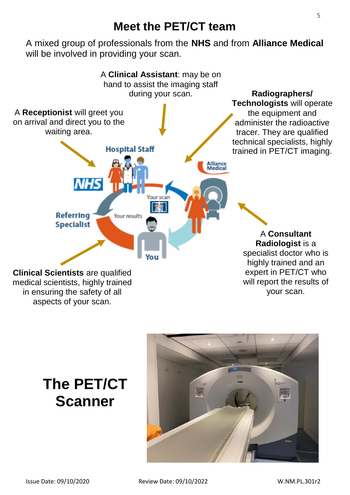### **Meet the PET/CT team**

A mixed group of professionals from the **NHS** and from **Alliance Medical** will be involved in providing your scan.



### **The PET/CT Scanner**

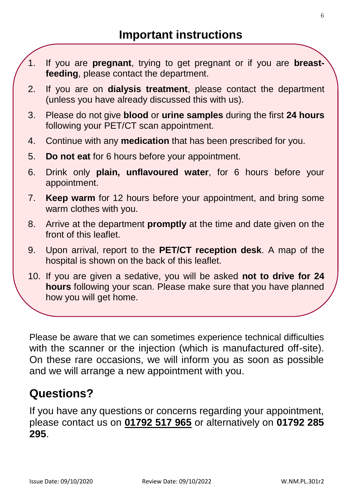- 1. If you are **pregnant**, trying to get pregnant or if you are **breastfeeding**, please contact the department.
- 2. If you are on **dialysis treatment**, please contact the department (unless you have already discussed this with us).
- 3. Please do not give **blood** or **urine samples** during the first **24 hours** following your PET/CT scan appointment.
- 4. Continue with any **medication** that has been prescribed for you.
- 5. **Do not eat** for 6 hours before your appointment.
- 6. Drink only **plain, unflavoured water**, for 6 hours before your appointment.
- 7. **Keep warm** for 12 hours before your appointment, and bring some warm clothes with you.
- 8. Arrive at the department **promptly** at the time and date given on the front of this leaflet.
- 9. Upon arrival, report to the **PET/CT reception desk**. A map of the hospital is shown on the back of this leaflet.
- 10. If you are given a sedative, you will be asked **not to drive for 24 hours** following your scan. Please make sure that you have planned how you will get home.

11. If you **cannot** attend for your scan or if you have any questions about

Please be aware that we can sometimes experience technical difficulties with the scanner or the injection (which is manufactured off-site). On these rare occasions, we will inform you as soon as possible and we will arrange a new appointment with you.

#### **Questions?**

If you have any questions or concerns regarding your appointment, please contact us on **01792 517 965** or alternatively on **01792 285 295**.